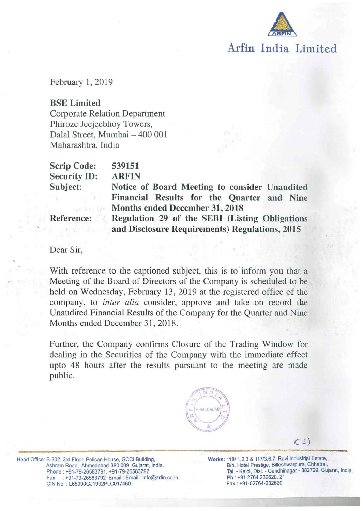

February 1, 2019

BSE Limited

Corporate Relation Department Phiroze Jeejeebhoy Towers, Dalal Street, Mumbai - 400 001 Maharashtra, India

| <b>Scrip Code:</b>  | 539151       |
|---------------------|--------------|
| <b>Security ID:</b> | <b>ARFIN</b> |
| Subject:            | Notice of    |
|                     |              |

of Board Meeting to consider Unaudited Financial Results for the Quarter and Nine Months ended December 31, 2018

Reference: Regulation 29 of the SEBI (Listing Obligations and Disclosure Requirements) Regulations, 2015

Dear Sir,

With reference to the captioned subject, this is to inform you that a Meeting of the Board of Directors of the Company is scheduled to be held on Wednesday, February 13, 2019 at the registered office of the company, to *inter alia* consider, approve and take on record the Unaudited Financial Results of the Company for the Quarter and Nine Months ended December 31, 2018.

Further, the Company confirms Closure of the Trading Window for dealing in the Securities of the Company with the immediate effect upto 48 hours after the results pursuant to the meeting are made public.



Head Office: B-302, 3rd Floor, Pelican House, GCCI Building, Ashram Road, Ahmedabad-380 009. Gujarat, India. Phone : +91-79-26583791, +91-79-26583792 Fax : +91-79-26583792 Email : Email : info@arfin.co.in CIN No.: L65990GJ1992PLC017460

Works: 118/ 1,2,3 & 117/3,6,7, Ravi Industrial Estate, B/h. Hotel Prestige, Billeshwarpura, Chhatral, Tal. - Kalol, Dist. - Gandhinagar- 382729, Gujarat, India. Ph.: +91 2764 232620, 21 Fax : +91-02764-232620

 $C1$